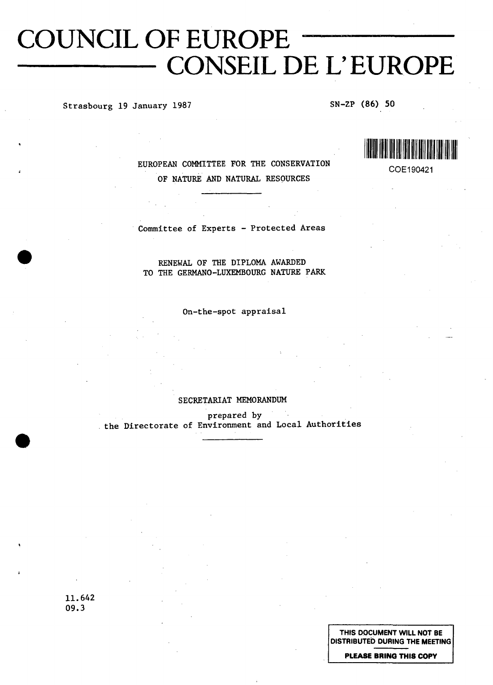# **COUNCIL OF EUROPE**  $\overline{CONSEIL}$   $DE$   $L'EUROPE$

# **Strasbourg 19 January 1987 SN-ZP (86) 50**



COE190421

**EUROPEAN COMMITTEE FOR THE CONSERVATION OF NATURE AND NATURAL RESOURCES**

**Committee of Experts - Protected Areas**

**RENEWAL OF THE DIPLOMA AWARDED TO THE GERMANO-LUXEMBOURG NATURE PARK**

**On-the-spot appraisal**

## **SECRETARIAT MEMORANDUM**

**prepared by the Directorate of Environment and Local Authorities**

> **THIS DOCUMENT WILL NOT BE DISTRIBUTED DURING THE MEETING**

> > **PLEASE BRING THIS COPY**

**11.642 09.3**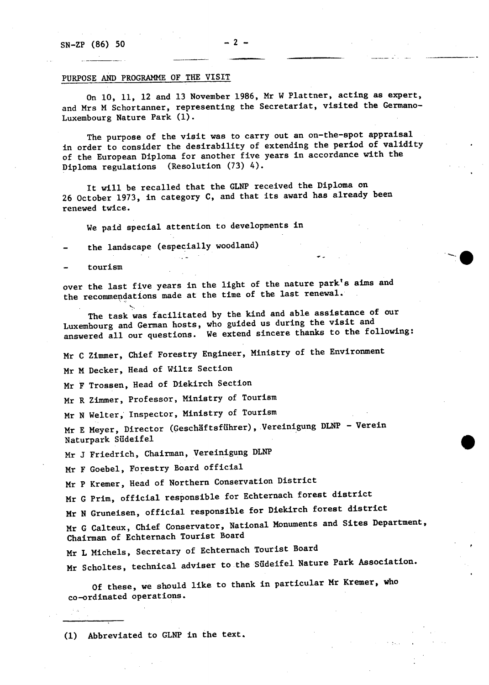# PURPOSE AND PROGRAMME OF THE VISIT

On 10, 11, 12 and 13 November 1986, Mr W Plattner, acting as expert, and Mrs M Schortanner, representing the Secretariat, visited the Germano-Luxembourg Nature Park (1).

The purpose of the visit was to carry out an on-the-spot appraisal in order to consider the desirability of extending the period of validity of the European Diploma for another five years in accordance with the Diploma regulations (Resolution (73) 4).

It will be recalled that the GLNP received the Diploma on 26 October 1973, in category C, and that its award has already been renewed twice.

We paid special attention to developments in

na Tu

the landscape (especially woodland)

tourism

over the last five years in the light of the nature park's aims and the recommendations made at the time of the last renewal.

The task was facilitated by the kind and able assistance of our Luxembourg and German hosts, who guided us during the visit and answered all our questions. We extend sincere thanks to the following:

Mr C Zimmer, Chief Forestry Engineer, Ministry of the Environment

Mr M Decker, Head of Wiltz Section

Mr F Trossen, Head of Diekirch Section

Mr R Zimmer, Professor, Ministry of Tourism

Mr N Welter, Inspector, Ministry of Tourism

Mr E Meyer, Director (Geschäftsführer), Vereinigung DLNP - Verein Naturpark Südeifel

Mr J Friedrich, Chairman, Vereinigung DLNP

Mr F Goebel, Forestry Board official

Mr P Kremer, Head of Northern Conservation District

Mr G Prim, official responsible for Echternach forest district

Mr N Gruneisen, official responsible for Diekirch forest district

Mr G Calteux, Chief Conservator, National Monuments and Sites Department Chairman of Echternach Tourist Board

Mr L Michels, Secretary of Echternach Tourist Board

Mr Scholtes, technical adviser to the Südeifel Nature Park Association.

Of these, we should like to thank in particular Mr Kremer, who co-ordinated operations.

(1) Abbreviated to GLNP in the text.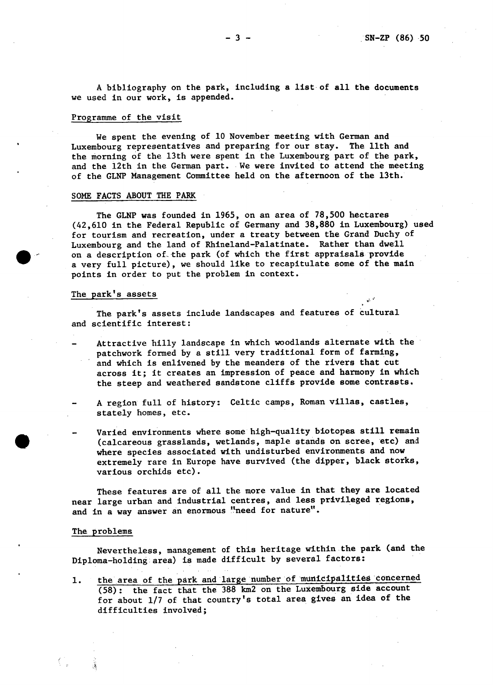A bibliography on the park, including a list of all the documents we used in our work, is appended.

## Programme of the visit

We spent the evening of 10 November meeting with German and Luxembourg representatives and preparing for our stay. The 11th and the morning of the 13th were spent in the Luxembourg part of the park, and the 12th in the German part. We were invited to attend the meeting of the GLNP Management Committee held on the afternoon of the 13th.

#### SOME FACTS ABOUT THE PARK

The GLNP was founded in 1965, on an area of 78,500 hectares (42,610 in the Federal Republic of Germany and 38,880 in Luxembourg) used for tourism and recreation, under a treaty between the Grand Duchy of Luxembourg and the land of Rhineland-Palatinate. Rather than dwell on a description of. the park (of which the first appraisals provide a very full picture), we should like to recapitulate some of the main points in order to put the problem in context.

# The park's assets

The park's assets include landscapes and features of cultural and scientific interest:

- Attractive hilly landscape in which woodlands alternate with the patchwork formed by a still very traditional form of farming, and which is enlivened by the meanders of the rivers that cut across it; it creates an impression of peace and harmony in which the steep and weathered sandstone cliffs provide some contrasts.
- A region full of history: Celtic camps, Roman villas, castles, stately homes, etc.
	- Varied environments where some high-quality biotopes still remain (calcareous grasslands, wetlands, maple stands on scree, etc) and where species associated with undisturbed environments and now extremely rare in Europe have survived (the dipper, black storks, various orchids etc).

These features are of all the more value in that they are located near large urban and industrial centres, and less privileged regions, and in a way answer an enormous "need for nature".

## The problems

 $C_{\rm{sc}}$ 

Nevertheless, management of this heritage within the park (and the Diploma-holding area) is made difficult by several factors:

1. the area of the park and large number of municipalities concerned (58): the fact that the 388 km2 on the Luxembourg side account for about 1/7 of that country's total area gives an idea of the difficulties involved;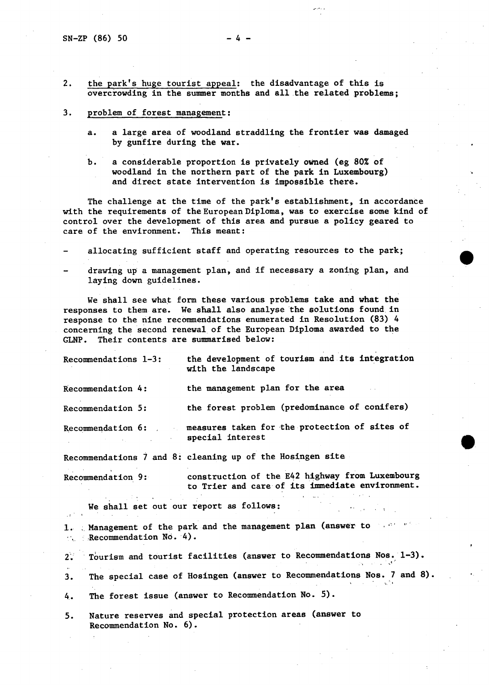2. the park's huge tourist appeal: the disadvantage of this is overcrowding in the summer months and all the related problems;

# 3. problem of forest management :

- a. a large area of woodland straddling the frontier was damaged by gunfire during the war.
- b. a considerable proportion is privately owned (eg 80% of woodland in the northern part of the park in Luxembourg) and direct state intervention is impossible there.

The challenge at the time of the park's establishment, in accordance with the requirements of the European Diploma, was to exercise some kind of control over the development of this area and pursue a policy geared to care of the environment. This meant:

- allocating sufficient staff and operating resources to the park;
- drawing up a management plan, and if necessary a zoning plan, and laying down guidelines.

We shall see what form these various problems take and what the responses to them are. We shall also analyse the solutions found in response to the nine recommendations enumerated in Resolution (83) 4 concerning the second renewal of the European Diploma awarded to the GLNP. Their contents are summarised below:

| Recommendations 1-3:                | the development of tourism and its integration<br>with the landscape                                                                                                                                                                                                                                                                                                                                                                                                                                 |
|-------------------------------------|------------------------------------------------------------------------------------------------------------------------------------------------------------------------------------------------------------------------------------------------------------------------------------------------------------------------------------------------------------------------------------------------------------------------------------------------------------------------------------------------------|
| Recommendation 4:                   | the management plan for the area                                                                                                                                                                                                                                                                                                                                                                                                                                                                     |
| Recommendation 5:                   | the forest problem (predominance of conifers)                                                                                                                                                                                                                                                                                                                                                                                                                                                        |
|                                     | Recommendation 6: measures taken for the protection of sites of<br>special interest                                                                                                                                                                                                                                                                                                                                                                                                                  |
|                                     | Recommendations 7 and 8: cleaning up of the Hosingen site                                                                                                                                                                                                                                                                                                                                                                                                                                            |
| Recommendation 9:                   | construction of the E42 highway from Luxembourg<br>to Trier and care of its immediate environment.                                                                                                                                                                                                                                                                                                                                                                                                   |
|                                     | We shall set out our report as follows:<br>$\mathcal{L}^{\mathcal{L}}(\mathcal{L}^{\mathcal{L}}(\mathcal{L}^{\mathcal{L}}(\mathcal{L}^{\mathcal{L}}(\mathcal{L}^{\mathcal{L}}(\mathcal{L}^{\mathcal{L}}(\mathcal{L}^{\mathcal{L}}(\mathcal{L}^{\mathcal{L}}(\mathcal{L}^{\mathcal{L}}(\mathcal{L}^{\mathcal{L}}(\mathcal{L}^{\mathcal{L}}(\mathcal{L}^{\mathcal{L}}(\mathcal{L}^{\mathcal{L}}(\mathcal{L}^{\mathcal{L}}(\mathcal{L}^{\mathcal{L}}(\mathcal{L}^{\mathcal{L}}(\mathcal{L}^{\mathcal{L$ |
| $\mathbb{R}$ Recommendation No. 4). | 1. Management of the park and the management plan (answer to the minimum                                                                                                                                                                                                                                                                                                                                                                                                                             |
| 2.7                                 | Tourism and tourist facilities (answer to Recommendations Nos. 1-3).                                                                                                                                                                                                                                                                                                                                                                                                                                 |
| 3.                                  | The special case of Hosingen (answer to Recommendations Nos. 7 and 8)                                                                                                                                                                                                                                                                                                                                                                                                                                |
| 4.                                  | The forest issue (answer to Recommendation No. 5).                                                                                                                                                                                                                                                                                                                                                                                                                                                   |
| 5.<br>Recommendation No. 6).        | Nature reserves and special protection areas (answer to                                                                                                                                                                                                                                                                                                                                                                                                                                              |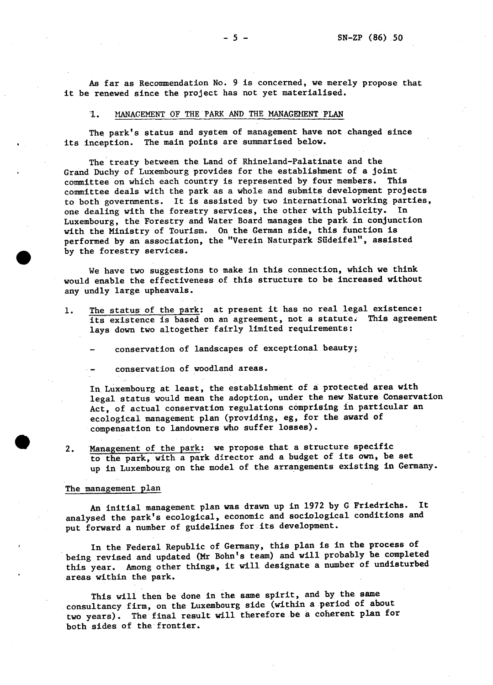As far as Recommendation No. 9 is concerned, we merely propose that it be renewed since the project has not yet materialised.

# 1. MANAGEMENT OF THE PARK AND THE MANAGEMENT PLAN

The park's status and system of management have not changed since its inception. The main points are summarised below.

The treaty between the Land of Rhineland-Palatinate and the Grand Duchy of Luxembourg provides for the establishment of a joint committee on which each country is represented by four members. This committee deals with the park as a whole and submits development projects to both governments. It is assisted by two international working parties, one dealing with the forestry services, the other with publicity. In Luxembourg, the Forestry and Water Board manages the park in conjunction with the Ministry of Tourism. On the German side, this function is performed by an association, the "Verein Naturpark Siideifel", assisted by the forestry services.

We have two suggestions to make in this connection, which we think would enable the effectiveness of this structure to be increased without any undly large upheavals.

1. The status of the park: at present it has no real legal existence: its existence is based on an agreement, not a statute. This agreement lays down two altogether fairly limited requirements:

conservation of landscapes of exceptional beauty;

- conservation of woodland areas.

In Luxembourg at least, the establishment of a protected area with legal status would mean the adoption, under the new Nature Conservation Act, of actual conservation regulations comprising in particular an ecological management plan (providing, eg, for the award of compensation to landowners who suffer losses).

2. Management of the park: we propose that a structure specific to the park, with a park director and a budget of its own, be set up in Luxembourg on the model of the arrangements existing in Germany.

#### The management plan

An initial management plan was drawn up in 1972 by G Friedrichs. It analysed the park's ecological, economic and sociological conditions and put forward a number of guidelines for its development.

In the Federal Republic of Germany, this plan is in the process of being revised and updated (Mr Bohn's team) and will probably be completed this year. Among other things, it will designate a number of undisturbed areas within the park.

This will then be done in the same spirit, and by the same consultancy firm, on the Luxembourg side (within a period of about two years). The final result will therefore be a coherent plan for both sides of the frontier.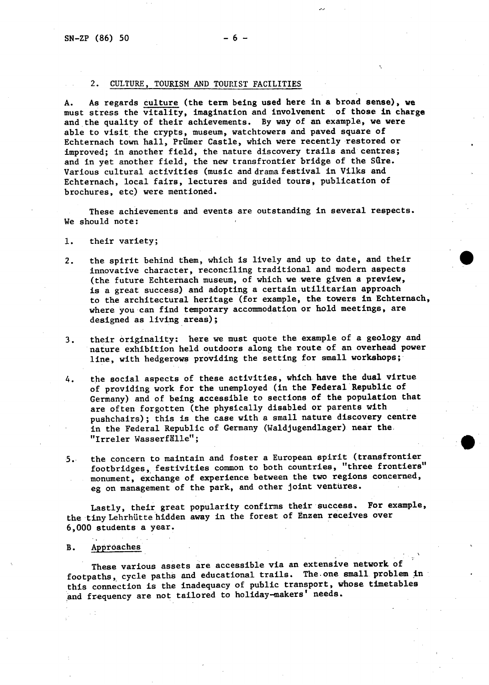# 2. CULTURE, TOURISM AND TOURIST FACILITIES

A. As regards culture (the term being used here In a broad sense), we must stress the vitality, imagination and involvement of those in charge and the quality of their achievements. By way of an example, we were able to visit the crypts, museum, watchtowers and paved square of Echternach town hall, Priimer Castle, which were recently restored or improved; in another field, the nature discovery trails and centres; and in yet another field, the new transfrontier bridge of the Sure. Various cultural activities (music and drama festival in Vilks and Echternach, local fairs, lectures and guided tours, publication of brochures, etc) were mentioned.

These achievements and events are outstanding in several respects. We should note:

- 1. their variety;
- 2. the spirit behind them, which is lively and up to date, and their innovative character, reconciling traditional and modern aspects (the future Echternach museum, of which we were given a preview, is a great success) and adopting a certain utilitarian approach to the architectural heritage (for example, the towers in Echternach, where you can find temporary accommodation or hold meetings, are designed as living areas);
- 3. their originality: here we must quote the example of a geology and nature exhibition held outdoors along the route of an overhead power line, with hedgerows providing the setting for small workshops;
- 4. the social aspects of these activities, which have the dual virtue of providing work for the unemployed (in the Federal Republic of Germany) and of being accessible to sections of the population that are often forgotten (the physically disabled or parents with pushchairs); this is the case with a small nature discovery centre in the Federal Republic of Germany (Waldjugendlager) near the "Irreier Wasserfälle";
- 5. the concern to maintain and foster a European spirit (transfrontier footbridges, festivities common to both countries, "three frontiers" monument, exchange of experience between the two regions concerned, eg on management of the park, and other joint ventures.

Lastly, their great popularity confirms their success. For example, the tiny Lehrhütte hidden away in the forest of Ènzen receives over 6,000 students a year.

# B. Approaches

These various assets are accessible via an extensive network of footpaths, cycle paths and educational trails. The-one small problem in this connection is the inadequacy of public transport, whose timetables and frequency are not tailored to holiday-makers' needs.

\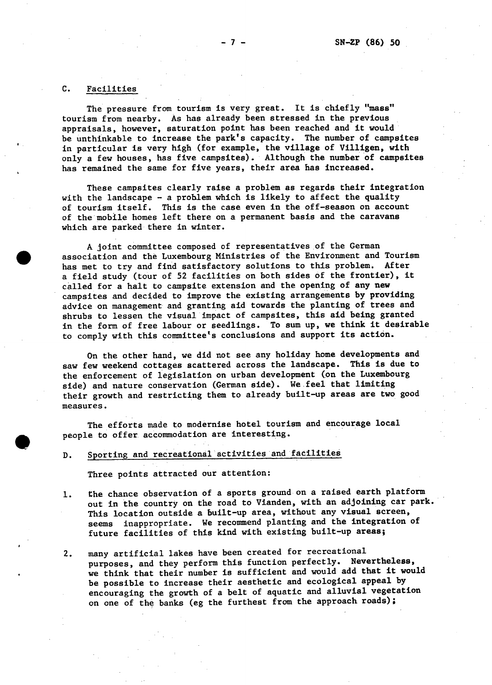#### **c.** Facilities

The pressure from tourism is very great. It is chiefly "mass" tourism from nearby. As has already been stressed in the previous appraisals, however, saturation point has been reached and it would be unthinkable to increase the park's capacity. The number of campsites in particular is very high (for example, the village of Villigen, with only a few houses, has five campsites). Although the number of campsites has remained the same for five years, their area has increased.

These campsites clearly raise a problem as regards their integration with the landscape - a problem which is likely to affect the quality of tourism itself. This is the case even in the off-season on account of the mobile homes left there on a permanent basis and the caravans which are parked there in winter.

A joint committee composed of representatives of the German association and the Luxembourg Ministries of the Environment and Tourism has met to try and find satisfactory solutions to this problem. After a field study (tour of 52 facilities on both sides of the frontier), it called for a halt to campsite extension and the opening of any new campsites and decided to improve the existing arrangements by providing advice on management and granting aid towards the planting of trees and shrubs to lessen the visual impact of campsites, this aid being granted in the form of free labour or seedlings. To sum up, we think it desirable to comply with this committee's conclusions and support its action.

On the other hand, we did not see any holiday home developments and saw few weekend cottages scattered across the landscape. This is due to the enforcement of legislation on urban development (on the Luxembourg side) and nature conservation (German side). We.feel that limiting their growth and restricting them to already built-up areas are two good measures.

The efforts made to modernise hotel tourism and encourage local people to offer accommodation are interesting.

# D. Sporting and recreational activities and facilities

Three points attracted our attention:

- 1. the chance observation of a sports ground on a raised earth platform out in the country on the road to Vianden, with an adjoining car park. This location outside a built-up area, without any visual screen, seems inappropriate. We recommend planting and the integration of future facilities of this kind with existing built-up areas;
- 2. many artificial lakes have been created for recreational purposes, and they perform this function perfectly. Nevertheless, we think that their number is sufficient and would add that it would be possible to increase their aesthetic and ecological appeal by encouraging the growth of a belt of aquatic and alluvial vegetation on one of the banks (eg the furthest from the approach roads);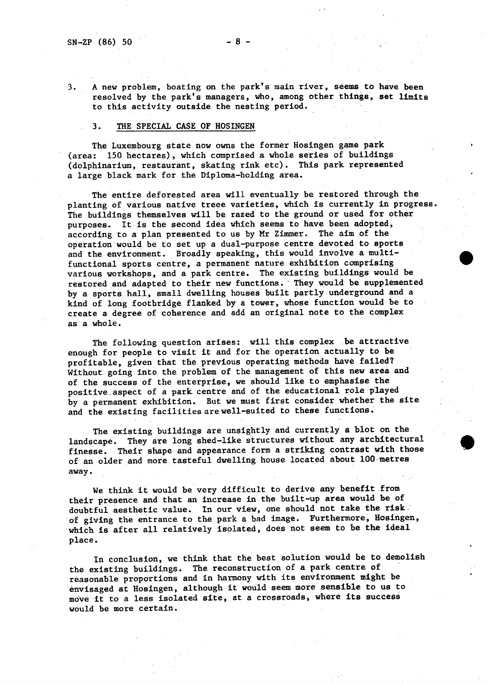# 3. THE SPECIAL CASE OF HOSINGEN

to this activity outside the nesting period.

The Luxembourg state now owns the former Hosingen game park (area: 150 hectares), which comprised a whole series of buildings (dolphinarium, restaurant, skating rink etc). This park represented a large black mark for the Diploma-holding area.

The entire deforested area will eventually be restored through the planting of various native treee varieties, which is currently in progress The buildings themselves will be razed to the ground or used for other purposes. It is the second idea which seems to have been adopted, according to a plan presented to us by Mr Zimmer. The aim of the operation would be to set up a dual-purpose centre devoted to sports and the environment. Broadly speaking, this would involve a multifunctional sports centre, a permanent nature exhibition comprising various workshops, and a park centre. The existing buildings would be restored and adapted to their new functions. They would be supplemented by a sports hall, small dwelling houses built partly underground and a kind of long footbridge flanked by a tower, whose function would be to create a degree of coherence and add an original note to the complex as a whole.

The following question arises: will this complex be attractive enough for people to visit it and for the operation actually to be profitable, given that the previous operating methods havé failed? Without going into the problem of the management of this new area and of the success of the enterprise, we should like to emphasise the positive,aspect of a park centre and of the educational role played by a permanent exhibition. But we must first consider whether the site and the existing facilities are well-suited to these functions.

The existing buildings are unsightly and currently a blot on the landscape. They are long shed-like structures without any architectural finesse. Their shape and appearance form a striking contrast with those of an older and more tasteful dwelling house located about 100 metres away.

We think it would be very difficult to derive any benefit from their presence and that an increase in the built-up area would be of doubtful aesthetic value. In our view, one should not take the risk of giving the entrance to the park a bad image. Furthermore, Hosingen, which is after all relatively isolated, does not seem to be the ideal place.

In conclusion, we think that the best solution would be to demolish the existing buildings. The reconstruction of a park centre of reasonable proportions and in harmony with its environment might be envisaged at Hosingen, although it would seem more sensible to us to move it to a less isolated site, at a crossroads, where its success would be more certain.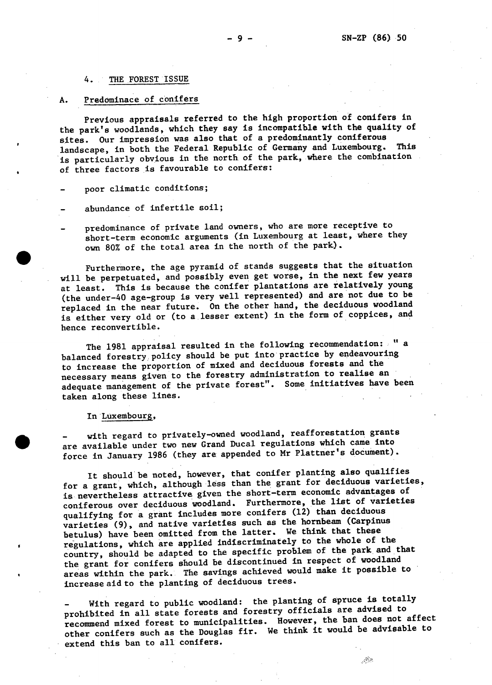#### 4. THE FOREST ISSUE

# A. Predóminace of conifers

Previous appraisals referred to the high proportion of conifers In the park's woodlands, which they say is incompatible with the quality of sites. Our impression was also that of a predominantly coniferous landscape, in both the Federal Republic of Germany and Luxembourg. This is particularly obvious in the north of the park, where the combination of three factors is favourable to conifers:

- poor climatic conditions;
- abundance of infertile soil;
- predominance of private land owners, who are more receptive to short-term economic arguments (in Luxembourg at least, where they own 80% of the total area in the north of the park) .

Furthermore, the age pyramid of stands suggests that the situation vili be perpetuated, and possibly even get worse, in the next few years at least. This is because the conifer plantations are relatively young (the under-40 age-group is very well represented) and are not due to be replaced in the near future. On the other hand, the deciduous woodland is either very old or (to a lesser extent) in the form of coppices, and hence reconvertible.

The 1981 appraisal resulted in the following recommendation: " a balanced forestry policy should be put into practice by endeavouring to increase the proportion of mixed and deciduous forests and the necessary means given to the forestry administration to realise an adequate management of the private forest". Some initiatives have been taken along these lines.

In Luxembourg,

with regard to privately-owned woodland, reafforestation grants are available under two new Grand Ducal regulations which came into force in January 1986 (they are appended to Mr Plattner's document).

It should be noted, however, that conifer planting also qualifies for a grant, which, although less than the grant for deciduous varieties, is nevertheless attractive given the short-term economic advantages of coniferous over deciduous woodland. Furthermore, the list of varieties qualifying for a grant includes more conifers (12) than deciduous varieties (9), and native varieties such as the hornbeam (Carpinus betulus) have been omitted from the latter. We think that these regulations, which are applied indiscriminately to the whole of the country, should be adapted to the specific problem of the park and that the grant for conifers should be discontinued in respect of woodland areas within the park. The savings achieved would make it possible to increase aid to the planting of deciduous trees.

With regard to public woodland: the planting of spruce is totally prohibited in all state forests and forestry officials are advised to recommend mixed forest to municipalities. However, the ban does not affect other conifers such as the Douglas fir. We think it would be advisable to extend this ban to all conifers.

 $\mathcal{L}^{\mathcal{N}}$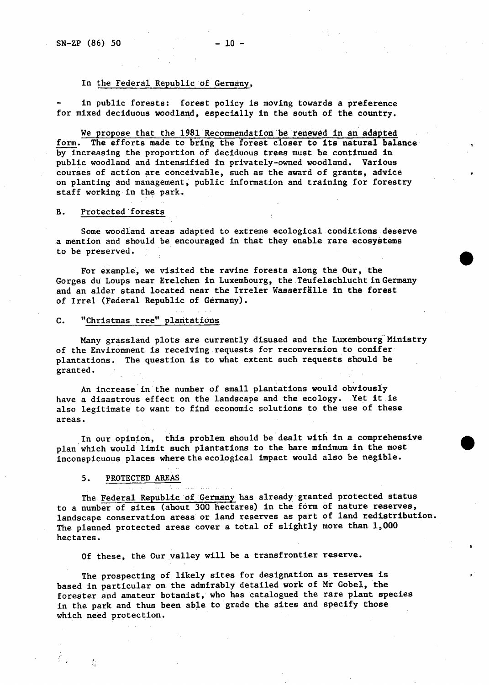In the Federal Republic of Germany,

In public forests: forest policy is moving towards a preference for mixed deciduous woodland, especially in the south of the country.

We propose that the 1981 Recommendation be renewed in an adapted form. The efforts made to bring the forest closer to its natural balance by increasing the proportion of deciduous trees must be continued in public woodland and intensified in privately-owned woodland. Various courses of action are conceivable, such as the award of grants, advice on planting and management, public information and training for forestry staff working in the park.

B. Protected forests

Some woodland areas adapted to extreme ecological conditions deserve a mention and should be encouraged in that they enable rare ecosystems to be preserved.

For example, we visited the ravine forests along the Our, the Gorges du Loups near Erelchen in Luxembourg, the Teufelschlucht in Germany and an alder stand located near the Irreler Wasserfälle in the forest of Irrel (Federal Republic of Germany).

C. "Christmas tree" plantations

Many grassland plots are currently disused and the Luxembourg Ministry of the Environment is receiving requests for reconversion to conifer plantations. The question is to what extent such requests should be granted.

An increase in the number of small plantations would obviously have a disastrous effect on the landscape and the ecology. Yet it is also legitimate to want to find economic solutions to the use of these areas.

In our opinion, this problem should be dealt with In a comprehensive plan which would limit such plantations to the hare minimum in the most inconspicuous places where the ecological impact would also be negible.

5. PROTECTED AREAS

 $\frac{1}{2}$ 

The Federal Republic of Germany has already granted protected status to a number of sites (ahout 300 hectares) in the form of nature reserves, landscape conservation areas or land reserves as part of land redistribution. The planned protected areas cover a total of slightly more than 1,000 hectares.

Of these, the Our valley will be a transfrontier reserve.

The prospecting of likely sites for designation as reserves is based in particular on the admirably detailed work of Mr Gobel, the forester and amateur botanist, who has catalogued the rare plant species in the park and thus been able to grade the sites and specify those which need protection.